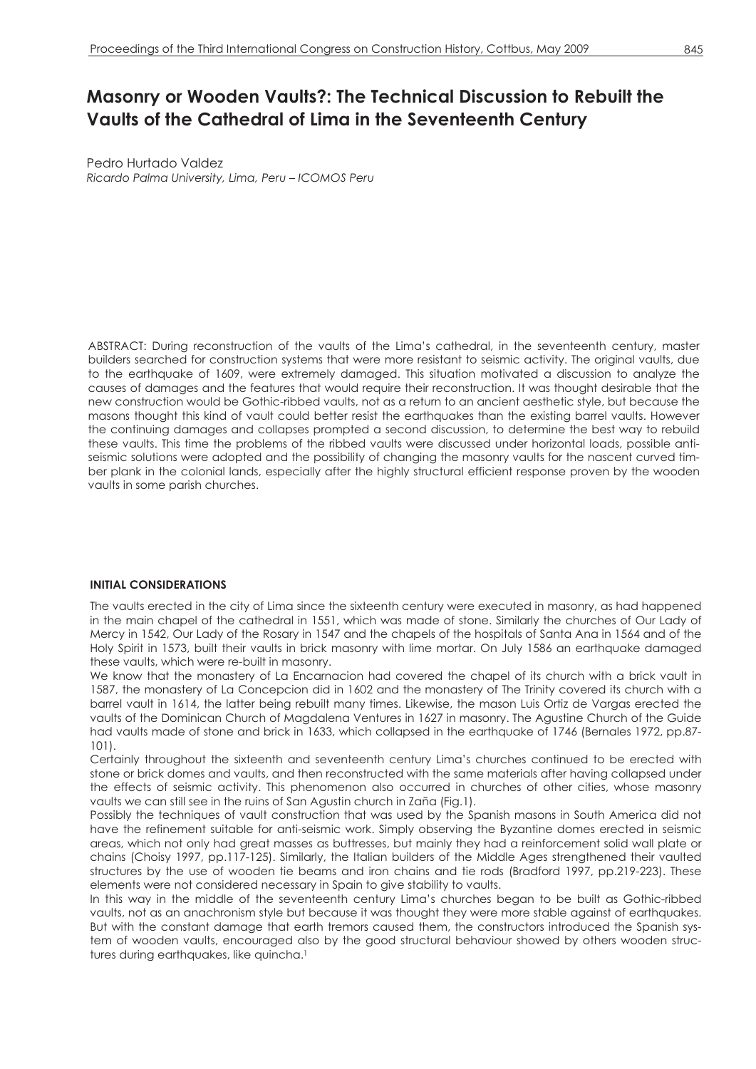# **Masonry or Wooden Vaults?: The Technical Discussion to Rebuilt the Vaults of the Cathedral of Lima in the Seventeenth Century**

Pedro Hurtado Valdez *Ricardo Palma University, Lima, Peru – ICOMOS Peru* 

ABSTRACT: During reconstruction of the vaults of the Lima's cathedral, in the seventeenth century, master builders searched for construction systems that were more resistant to seismic activity. The original vaults, due to the earthquake of 1609, were extremely damaged. This situation motivated a discussion to analyze the causes of damages and the features that would require their reconstruction. It was thought desirable that the new construction would be Gothic-ribbed vaults, not as a return to an ancient aesthetic style, but because the masons thought this kind of vault could better resist the earthquakes than the existing barrel vaults. However the continuing damages and collapses prompted a second discussion, to determine the best way to rebuild these vaults. This time the problems of the ribbed vaults were discussed under horizontal loads, possible antiseismic solutions were adopted and the possibility of changing the masonry vaults for the nascent curved timber plank in the colonial lands, especially after the highly structural efficient response proven by the wooden vaults in some parish churches.

## **INITIAL CONSIDERATIONS**

The vaults erected in the city of Lima since the sixteenth century were executed in masonry, as had happened in the main chapel of the cathedral in 1551, which was made of stone. Similarly the churches of Our Lady of Mercy in 1542, Our Lady of the Rosary in 1547 and the chapels of the hospitals of Santa Ana in 1564 and of the Holy Spirit in 1573, built their vaults in brick masonry with lime mortar. On July 1586 an earthquake damaged these vaults, which were re-built in masonry.

We know that the monastery of La Encarnacion had covered the chapel of its church with a brick vault in 1587, the monastery of La Concepcion did in 1602 and the monastery of The Trinity covered its church with a barrel vault in 1614, the latter being rebuilt many times. Likewise, the mason Luis Ortiz de Vargas erected the vaults of the Dominican Church of Magdalena Ventures in 1627 in masonry. The Agustine Church of the Guide had vaults made of stone and brick in 1633, which collapsed in the earthquake of 1746 (Bernales 1972, pp.87-101).

Certainly throughout the sixteenth and seventeenth century Lima's churches continued to be erected with stone or brick domes and vaults, and then reconstructed with the same materials after having collapsed under the effects of seismic activity. This phenomenon also occurred in churches of other cities, whose masonry vaults we can still see in the ruins of San Agustin church in Zaña (Fig.1).

Possibly the techniques of vault construction that was used by the Spanish masons in South America did not have the refinement suitable for anti-seismic work. Simply observing the Byzantine domes erected in seismic areas, which not only had great masses as buttresses, but mainly they had a reinforcement solid wall plate or chains (Choisy 1997, pp.117-125). Similarly, the Italian builders of the Middle Ages strengthened their vaulted structures by the use of wooden tie beams and iron chains and tie rods (Bradford 1997, pp.219-223). These elements were not considered necessary in Spain to give stability to vaults.

In this way in the middle of the seventeenth century Lima's churches began to be built as Gothic-ribbed vaults, not as an anachronism style but because it was thought they were more stable against of earthquakes. But with the constant damage that earth tremors caused them, the constructors introduced the Spanish system of wooden vaults, encouraged also by the good structural behaviour showed by others wooden structures during earthquakes, like quincha.<sup>1</sup>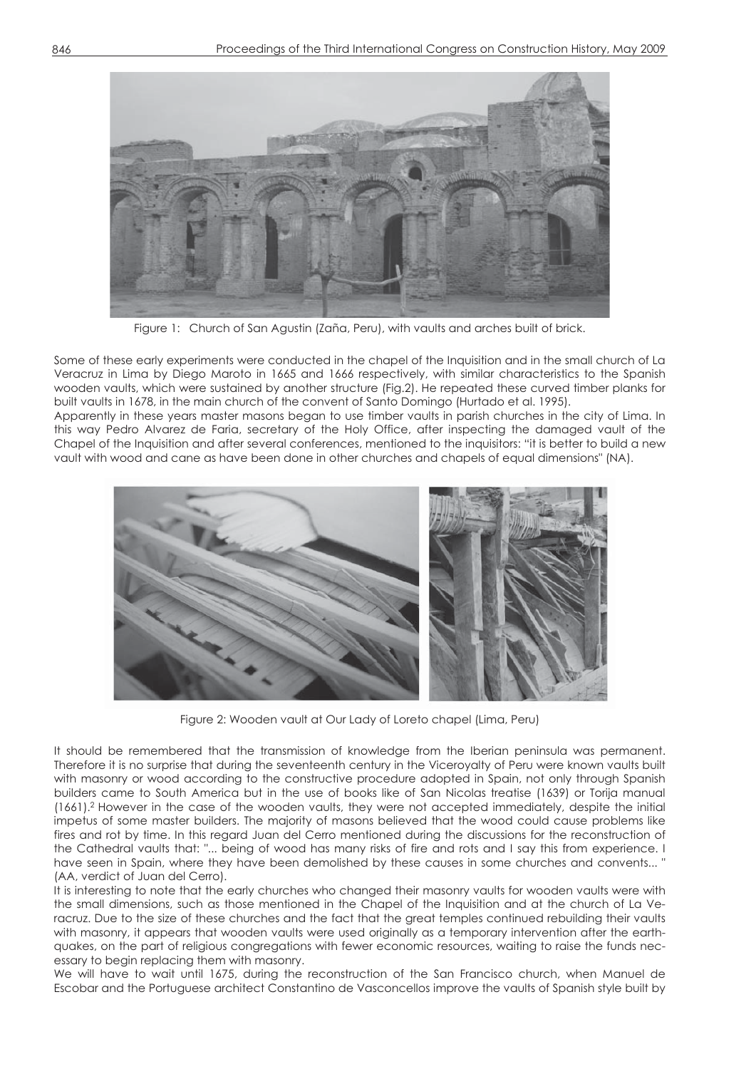

Figure 1: Church of San Agustin (Zaña, Peru), with vaults and arches built of brick.

Some of these early experiments were conducted in the chapel of the Inquisition and in the small church of La Veracruz in Lima by Diego Maroto in 1665 and 1666 respectively, with similar characteristics to the Spanish wooden vaults, which were sustained by another structure (Fig.2). He repeated these curved timber planks for built vaults in 1678, in the main church of the convent of Santo Domingo (Hurtado et al. 1995).

Apparently in these years master masons began to use timber vaults in parish churches in the city of Lima. In this way Pedro Alvarez de Faria, secretary of the Holy Office, after inspecting the damaged vault of the Chapel of the Inquisition and after several conferences, mentioned to the inquisitors: "it is better to build a new vault with wood and cane as have been done in other churches and chapels of equal dimensions" (NA).



Figure 2: Wooden vault at Our Lady of Loreto chapel (Lima, Peru)

It should be remembered that the transmission of knowledge from the Iberian peninsula was permanent. Therefore it is no surprise that during the seventeenth century in the Viceroyalty of Peru were known vaults built with masonry or wood according to the constructive procedure adopted in Spain, not only through Spanish builders came to South America but in the use of books like of San Nicolas treatise (1639) or Torija manual (1661).2 However in the case of the wooden vaults, they were not accepted immediately, despite the initial impetus of some master builders. The majority of masons believed that the wood could cause problems like fires and rot by time. In this regard Juan del Cerro mentioned during the discussions for the reconstruction of the Cathedral vaults that: "... being of wood has many risks of fire and rots and I say this from experience. I have seen in Spain, where they have been demolished by these causes in some churches and convents... ' (AA, verdict of Juan del Cerro).

It is interesting to note that the early churches who changed their masonry vaults for wooden vaults were with the small dimensions, such as those mentioned in the Chapel of the Inquisition and at the church of La Veracruz. Due to the size of these churches and the fact that the great temples continued rebuilding their vaults with masonry, it appears that wooden vaults were used originally as a temporary intervention after the earthquakes, on the part of religious congregations with fewer economic resources, waiting to raise the funds necessary to begin replacing them with masonry.

We will have to wait until 1675, during the reconstruction of the San Francisco church, when Manuel de Escobar and the Portuguese architect Constantino de Vasconcellos improve the vaults of Spanish style built by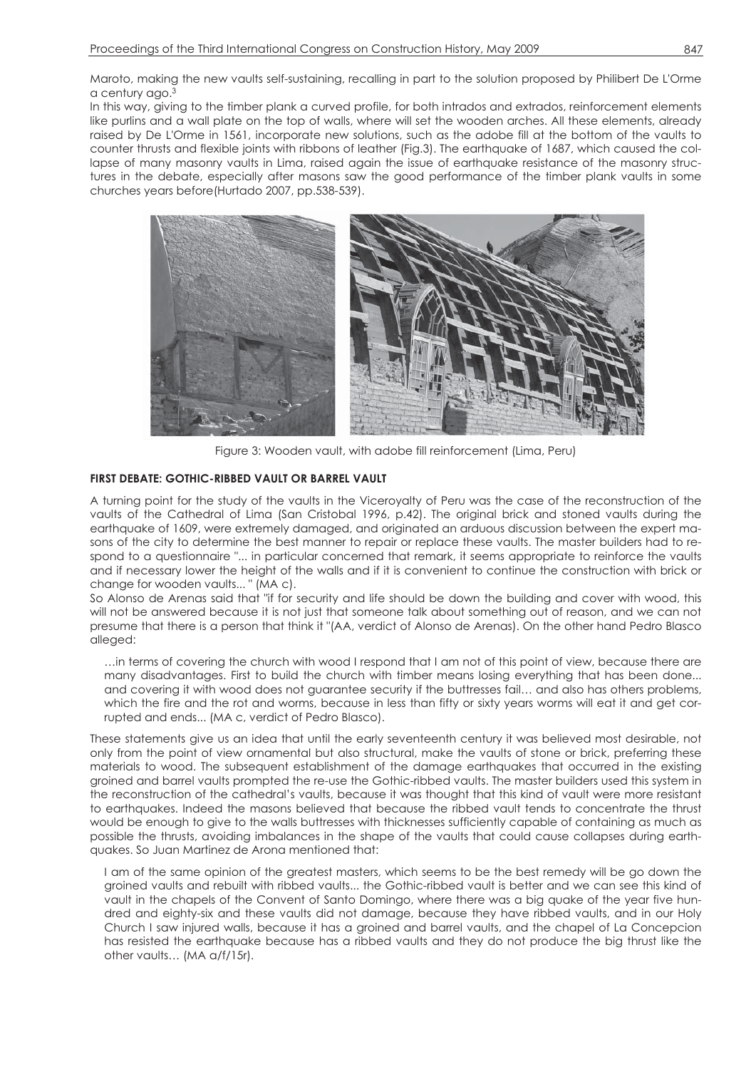Maroto, making the new vaults self-sustaining, recalling in part to the solution proposed by Philibert De L'Orme a century ago.3

In this way, giving to the timber plank a curved profile, for both intrados and extrados, reinforcement elements like purlins and a wall plate on the top of walls, where will set the wooden arches. All these elements, already raised by De L'Orme in 1561, incorporate new solutions, such as the adobe fill at the bottom of the vaults to counter thrusts and flexible joints with ribbons of leather (Fig.3). The earthquake of 1687, which caused the collapse of many masonry vaults in Lima, raised again the issue of earthquake resistance of the masonry structures in the debate, especially after masons saw the good performance of the timber plank vaults in some churches years before(Hurtado 2007, pp.538-539).



Figure 3: Wooden vault, with adobe fill reinforcement (Lima, Peru)

# **FIRST DEBATE: GOTHIC-RIBBED VAULT OR BARREL VAULT**

A turning point for the study of the vaults in the Viceroyalty of Peru was the case of the reconstruction of the vaults of the Cathedral of Lima (San Cristobal 1996, p.42). The original brick and stoned vaults during the earthquake of 1609, were extremely damaged, and originated an arduous discussion between the expert masons of the city to determine the best manner to repair or replace these vaults. The master builders had to respond to a questionnaire "... in particular concerned that remark, it seems appropriate to reinforce the vaults and if necessary lower the height of the walls and if it is convenient to continue the construction with brick or change for wooden vaults... " (MA c).

So Alonso de Arenas said that "if for security and life should be down the building and cover with wood, this will not be answered because it is not just that someone talk about something out of reason, and we can not presume that there is a person that think it "(AA, verdict of Alonso de Arenas). On the other hand Pedro Blasco alleged:

…in terms of covering the church with wood I respond that I am not of this point of view, because there are many disadvantages. First to build the church with timber means losing everything that has been done... and covering it with wood does not guarantee security if the buttresses fail… and also has others problems, which the fire and the rot and worms, because in less than fifty or sixty years worms will eat it and get corrupted and ends... (MA c, verdict of Pedro Blasco).

These statements give us an idea that until the early seventeenth century it was believed most desirable, not only from the point of view ornamental but also structural, make the vaults of stone or brick, preferring these materials to wood. The subsequent establishment of the damage earthquakes that occurred in the existing groined and barrel vaults prompted the re-use the Gothic-ribbed vaults. The master builders used this system in the reconstruction of the cathedral's vaults, because it was thought that this kind of vault were more resistant to earthquakes. Indeed the masons believed that because the ribbed vault tends to concentrate the thrust would be enough to give to the walls buttresses with thicknesses sufficiently capable of containing as much as possible the thrusts, avoiding imbalances in the shape of the vaults that could cause collapses during earthquakes. So Juan Martinez de Arona mentioned that:

I am of the same opinion of the greatest masters, which seems to be the best remedy will be go down the groined vaults and rebuilt with ribbed vaults... the Gothic-ribbed vault is better and we can see this kind of vault in the chapels of the Convent of Santo Domingo, where there was a big quake of the year five hundred and eighty-six and these vaults did not damage, because they have ribbed vaults, and in our Holy Church I saw injured walls, because it has a groined and barrel vaults, and the chapel of La Concepcion has resisted the earthquake because has a ribbed vaults and they do not produce the big thrust like the other vaults… (MA a/f/15r).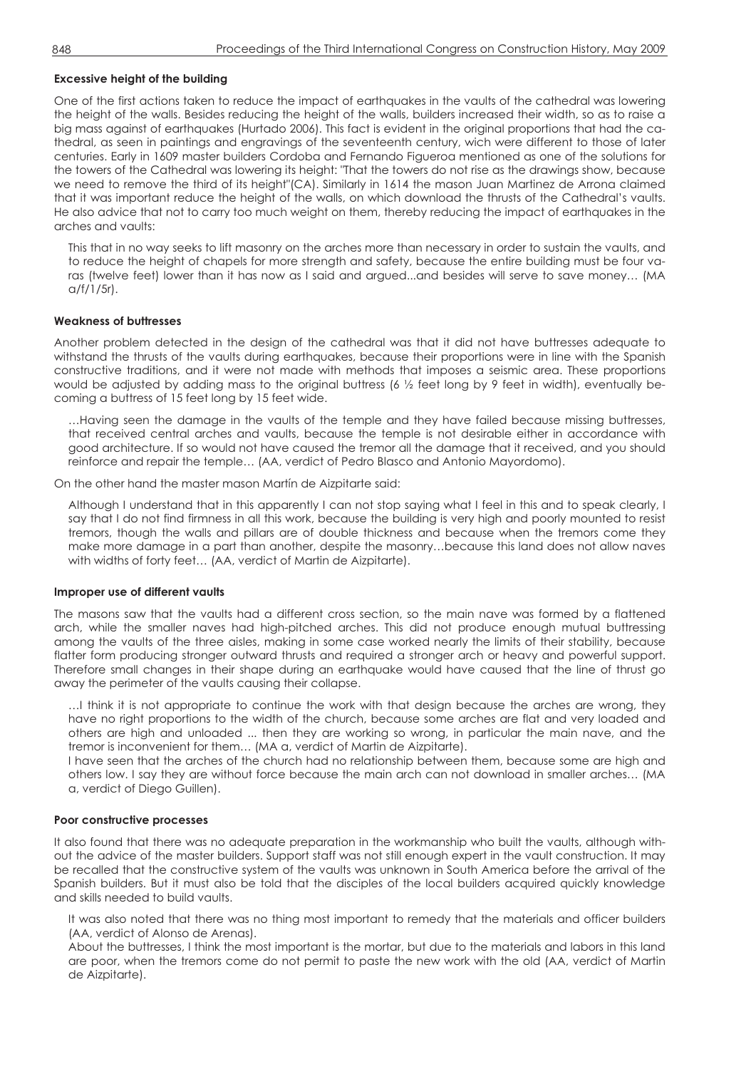## **Excessive height of the building**

One of the first actions taken to reduce the impact of earthquakes in the vaults of the cathedral was lowering the height of the walls. Besides reducing the height of the walls, builders increased their width, so as to raise a big mass against of earthquakes (Hurtado 2006). This fact is evident in the original proportions that had the cathedral, as seen in paintings and engravings of the seventeenth century, wich were different to those of later centuries. Early in 1609 master builders Cordoba and Fernando Figueroa mentioned as one of the solutions for the towers of the Cathedral was lowering its height: "That the towers do not rise as the drawings show, because we need to remove the third of its height"(CA). Similarly in 1614 the mason Juan Martinez de Arrona claimed that it was important reduce the height of the walls, on which download the thrusts of the Cathedral's vaults. He also advice that not to carry too much weight on them, thereby reducing the impact of earthquakes in the arches and vaults:

This that in no way seeks to lift masonry on the arches more than necessary in order to sustain the vaults, and to reduce the height of chapels for more strength and safety, because the entire building must be four varas (twelve feet) lower than it has now as I said and argued...and besides will serve to save money… (MA  $Q/f/1/5r$ ).

### **Weakness of buttresses**

Another problem detected in the design of the cathedral was that it did not have buttresses adequate to withstand the thrusts of the vaults during earthquakes, because their proportions were in line with the Spanish constructive traditions, and it were not made with methods that imposes a seismic area. These proportions would be adjusted by adding mass to the original buttress (6  $\frac{1}{2}$  feet long by 9 feet in width), eventually becoming a buttress of 15 feet long by 15 feet wide.

…Having seen the damage in the vaults of the temple and they have failed because missing buttresses, that received central arches and vaults, because the temple is not desirable either in accordance with good architecture. If so would not have caused the tremor all the damage that it received, and you should reinforce and repair the temple… (AA, verdict of Pedro Blasco and Antonio Mayordomo).

On the other hand the master mason Martín de Aizpitarte said:

Although I understand that in this apparently I can not stop saying what I feel in this and to speak clearly, I say that I do not find firmness in all this work, because the building is very high and poorly mounted to resist tremors, though the walls and pillars are of double thickness and because when the tremors come they make more damage in a part than another, despite the masonry…because this land does not allow naves with widths of forty feet… (AA, verdict of Martin de Aizpitarte).

#### **Improper use of different vaults**

The masons saw that the vaults had a different cross section, so the main nave was formed by a flattened arch, while the smaller naves had high-pitched arches. This did not produce enough mutual buttressing among the vaults of the three aisles, making in some case worked nearly the limits of their stability, because flatter form producing stronger outward thrusts and required a stronger arch or heavy and powerful support. Therefore small changes in their shape during an earthquake would have caused that the line of thrust go away the perimeter of the vaults causing their collapse.

…I think it is not appropriate to continue the work with that design because the arches are wrong, they have no right proportions to the width of the church, because some arches are flat and very loaded and others are high and unloaded ... then they are working so wrong, in particular the main nave, and the tremor is inconvenient for them… (MA a, verdict of Martin de Aizpitarte).

I have seen that the arches of the church had no relationship between them, because some are high and others low. I say they are without force because the main arch can not download in smaller arches… (MA a, verdict of Diego Guillen).

#### **Poor constructive processes**

It also found that there was no adequate preparation in the workmanship who built the vaults, although without the advice of the master builders. Support staff was not still enough expert in the vault construction. It may be recalled that the constructive system of the vaults was unknown in South America before the arrival of the Spanish builders. But it must also be told that the disciples of the local builders acquired quickly knowledge and skills needed to build vaults.

It was also noted that there was no thing most important to remedy that the materials and officer builders (AA, verdict of Alonso de Arenas).

About the buttresses, I think the most important is the mortar, but due to the materials and labors in this land are poor, when the tremors come do not permit to paste the new work with the old (AA, verdict of Martin de Aizpitarte).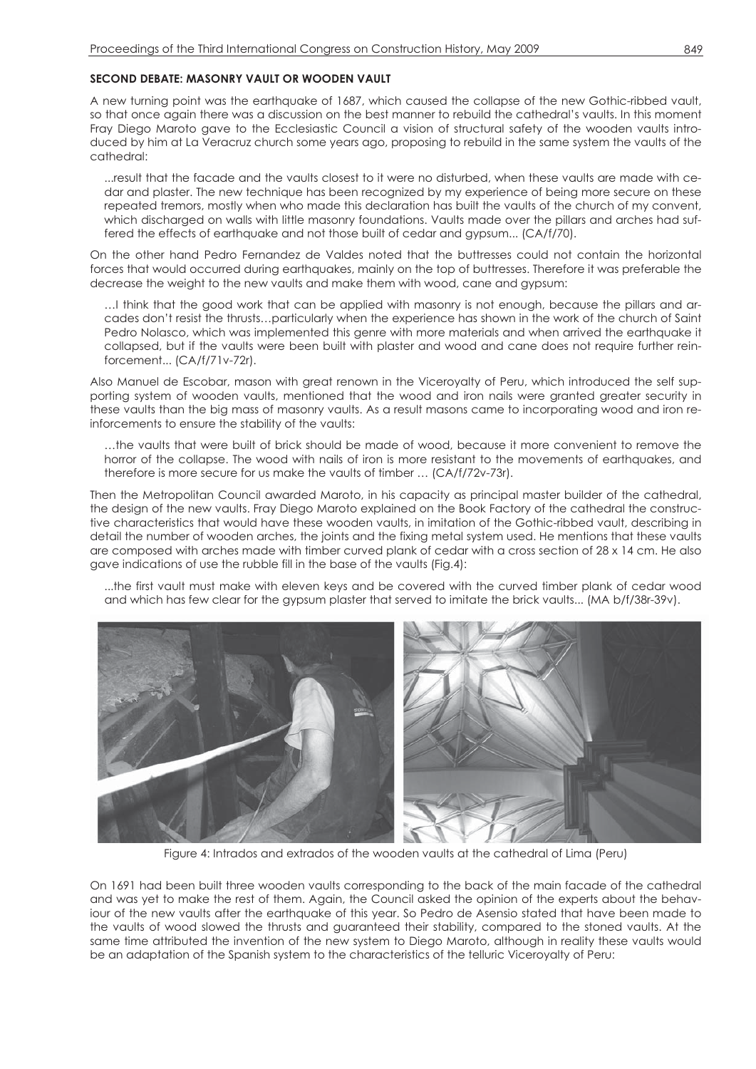## **SECOND DEBATE: MASONRY VAULT OR WOODEN VAULT**

A new turning point was the earthquake of 1687, which caused the collapse of the new Gothic-ribbed vault, so that once again there was a discussion on the best manner to rebuild the cathedral's vaults. In this moment Fray Diego Maroto gave to the Ecclesiastic Council a vision of structural safety of the wooden vaults introduced by him at La Veracruz church some years ago, proposing to rebuild in the same system the vaults of the cathedral:

...result that the facade and the vaults closest to it were no disturbed, when these vaults are made with cedar and plaster. The new technique has been recognized by my experience of being more secure on these repeated tremors, mostly when who made this declaration has built the vaults of the church of my convent, which discharged on walls with little masonry foundations. Vaults made over the pillars and arches had suffered the effects of earthquake and not those built of cedar and gypsum... (CA/f/70).

On the other hand Pedro Fernandez de Valdes noted that the buttresses could not contain the horizontal forces that would occurred during earthquakes, mainly on the top of buttresses. Therefore it was preferable the decrease the weight to the new vaults and make them with wood, cane and gypsum:

…I think that the good work that can be applied with masonry is not enough, because the pillars and arcades don't resist the thrusts…particularly when the experience has shown in the work of the church of Saint Pedro Nolasco, which was implemented this genre with more materials and when arrived the earthquake it collapsed, but if the vaults were been built with plaster and wood and cane does not require further reinforcement... (CA/f/71v-72r).

Also Manuel de Escobar, mason with great renown in the Viceroyalty of Peru, which introduced the self supporting system of wooden vaults, mentioned that the wood and iron nails were granted greater security in these vaults than the big mass of masonry vaults. As a result masons came to incorporating wood and iron reinforcements to ensure the stability of the vaults:

…the vaults that were built of brick should be made of wood, because it more convenient to remove the horror of the collapse. The wood with nails of iron is more resistant to the movements of earthquakes, and therefore is more secure for us make the vaults of timber … (CA/f/72v-73r).

Then the Metropolitan Council awarded Maroto, in his capacity as principal master builder of the cathedral, the design of the new vaults. Fray Diego Maroto explained on the Book Factory of the cathedral the constructive characteristics that would have these wooden vaults, in imitation of the Gothic-ribbed vault, describing in detail the number of wooden arches, the joints and the fixing metal system used. He mentions that these vaults are composed with arches made with timber curved plank of cedar with a cross section of 28 x 14 cm. He also gave indications of use the rubble fill in the base of the vaults (Fig.4):

...the first vault must make with eleven keys and be covered with the curved timber plank of cedar wood and which has few clear for the gypsum plaster that served to imitate the brick vaults... (MA b/f/38r-39v).



Figure 4: Intrados and extrados of the wooden vaults at the cathedral of Lima (Peru)

On 1691 had been built three wooden vaults corresponding to the back of the main facade of the cathedral and was yet to make the rest of them. Again, the Council asked the opinion of the experts about the behaviour of the new vaults after the earthquake of this year. So Pedro de Asensio stated that have been made to the vaults of wood slowed the thrusts and guaranteed their stability, compared to the stoned vaults. At the same time attributed the invention of the new system to Diego Maroto, although in reality these vaults would be an adaptation of the Spanish system to the characteristics of the telluric Viceroyalty of Peru: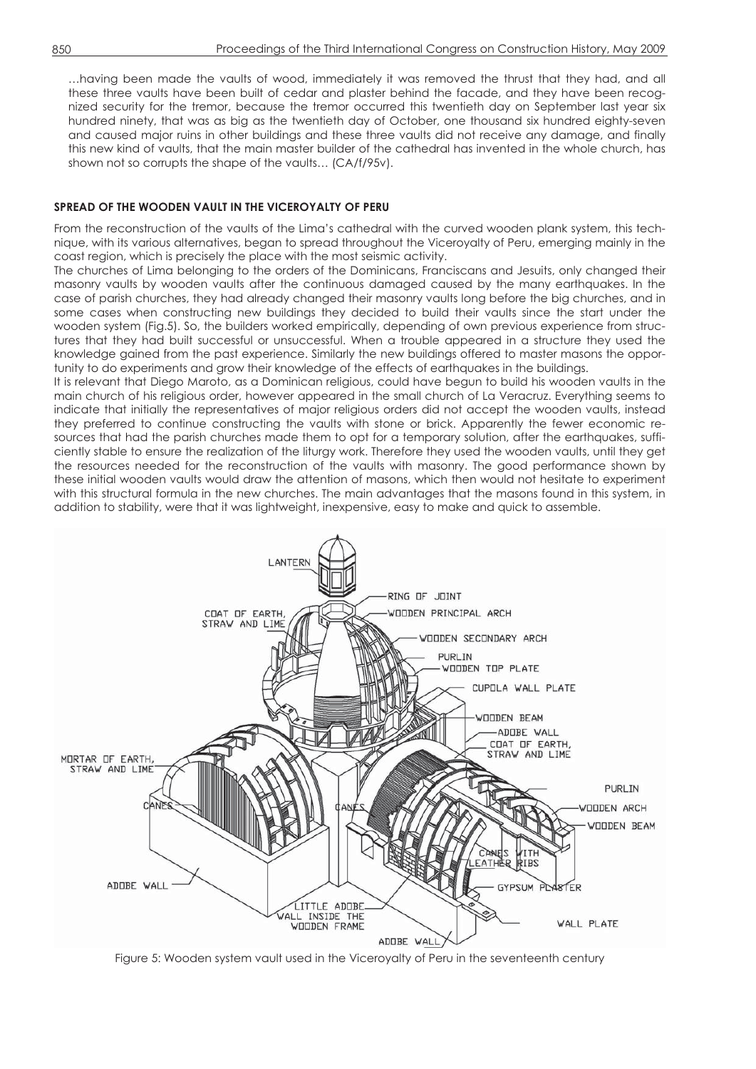…having been made the vaults of wood, immediately it was removed the thrust that they had, and all these three vaults have been built of cedar and plaster behind the facade, and they have been recognized security for the tremor, because the tremor occurred this twentieth day on September last year six hundred ninety, that was as big as the twentieth day of October, one thousand six hundred eighty-seven and caused major ruins in other buildings and these three vaults did not receive any damage, and finally this new kind of vaults, that the main master builder of the cathedral has invented in the whole church, has shown not so corrupts the shape of the vaults... (CA/f/95v).

# **SPREAD OF THE WOODEN VAULT IN THE VICEROYALTY OF PERU**

From the reconstruction of the vaults of the Lima's cathedral with the curved wooden plank system, this technique, with its various alternatives, began to spread throughout the Viceroyalty of Peru, emerging mainly in the coast region, which is precisely the place with the most seismic activity.

The churches of Lima belonging to the orders of the Dominicans, Franciscans and Jesuits, only changed their masonry vaults by wooden vaults after the continuous damaged caused by the many earthquakes. In the case of parish churches, they had already changed their masonry vaults long before the big churches, and in some cases when constructing new buildings they decided to build their vaults since the start under the wooden system (Fig.5). So, the builders worked empirically, depending of own previous experience from structures that they had built successful or unsuccessful. When a trouble appeared in a structure they used the knowledge gained from the past experience. Similarly the new buildings offered to master masons the opportunity to do experiments and grow their knowledge of the effects of earthquakes in the buildings.

It is relevant that Diego Maroto, as a Dominican religious, could have begun to build his wooden vaults in the main church of his religious order, however appeared in the small church of La Veracruz. Everything seems to indicate that initially the representatives of major religious orders did not accept the wooden vaults, instead they preferred to continue constructing the vaults with stone or brick. Apparently the fewer economic resources that had the parish churches made them to opt for a temporary solution, after the earthquakes, sufficiently stable to ensure the realization of the liturgy work. Therefore they used the wooden vaults, until they get the resources needed for the reconstruction of the vaults with masonry. The good performance shown by these initial wooden vaults would draw the attention of masons, which then would not hesitate to experiment with this structural formula in the new churches. The main advantages that the masons found in this system, in addition to stability, were that it was lightweight, inexpensive, easy to make and quick to assemble.



Figure 5: Wooden system vault used in the Viceroyalty of Peru in the seventeenth century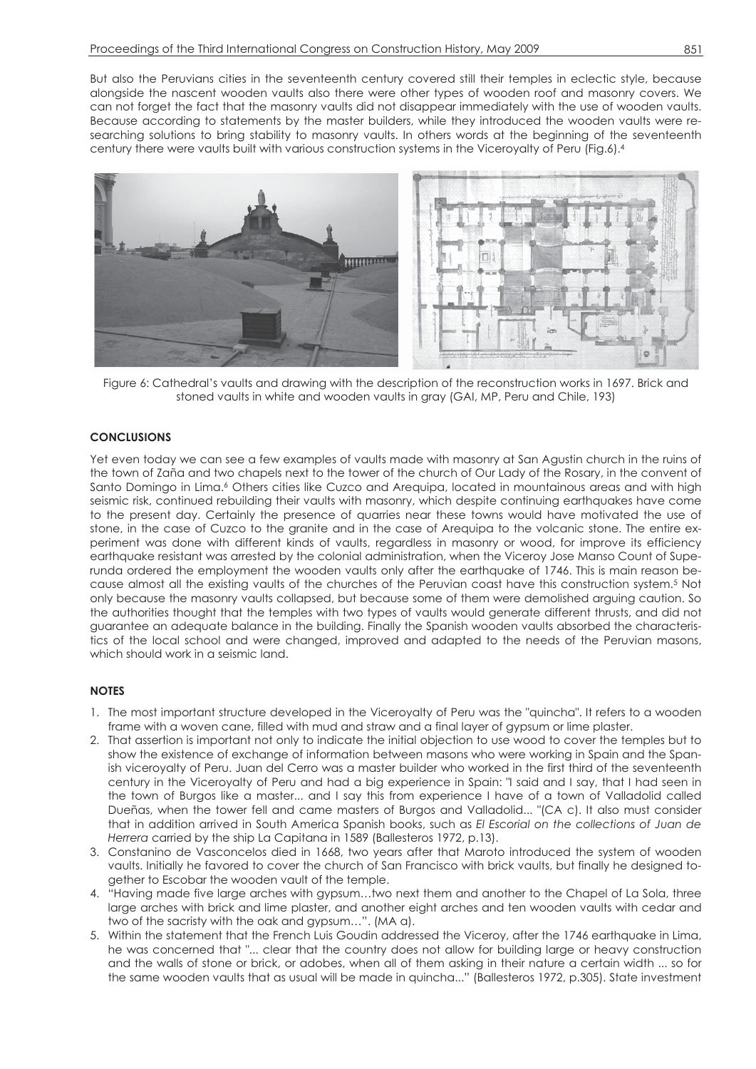But also the Peruvians cities in the seventeenth century covered still their temples in eclectic style, because alongside the nascent wooden vaults also there were other types of wooden roof and masonry covers. We can not forget the fact that the masonry vaults did not disappear immediately with the use of wooden vaults. Because according to statements by the master builders, while they introduced the wooden vaults were researching solutions to bring stability to masonry vaults. In others words at the beginning of the seventeenth century there were vaults built with various construction systems in the Viceroyalty of Peru (Fig.6).4



Figure 6: Cathedral's vaults and drawing with the description of the reconstruction works in 1697. Brick and stoned vaults in white and wooden vaults in gray (GAI, MP, Peru and Chile, 193)

# **CONCLUSIONS**

Yet even today we can see a few examples of vaults made with masonry at San Agustin church in the ruins of the town of Zaña and two chapels next to the tower of the church of Our Lady of the Rosary, in the convent of Santo Domingo in Lima.<sup>6</sup> Others cities like Cuzco and Arequipa, located in mountainous areas and with high seismic risk, continued rebuilding their vaults with masonry, which despite continuing earthquakes have come to the present day. Certainly the presence of quarries near these towns would have motivated the use of stone, in the case of Cuzco to the granite and in the case of Arequipa to the volcanic stone. The entire experiment was done with different kinds of vaults, regardless in masonry or wood, for improve its efficiency earthquake resistant was arrested by the colonial administration, when the Viceroy Jose Manso Count of Superunda ordered the employment the wooden vaults only after the earthquake of 1746. This is main reason because almost all the existing vaults of the churches of the Peruvian coast have this construction system.5 Not only because the masonry vaults collapsed, but because some of them were demolished arguing caution. So the authorities thought that the temples with two types of vaults would generate different thrusts, and did not guarantee an adequate balance in the building. Finally the Spanish wooden vaults absorbed the characteristics of the local school and were changed, improved and adapted to the needs of the Peruvian masons, which should work in a seismic land.

## **NOTES**

- 1. The most important structure developed in the Viceroyalty of Peru was the "quincha". It refers to a wooden frame with a woven cane, filled with mud and straw and a final layer of gypsum or lime plaster.
- 2. That assertion is important not only to indicate the initial objection to use wood to cover the temples but to show the existence of exchange of information between masons who were working in Spain and the Spanish viceroyalty of Peru. Juan del Cerro was a master builder who worked in the first third of the seventeenth century in the Viceroyalty of Peru and had a big experience in Spain: "I said and I say, that I had seen in the town of Burgos like a master... and I say this from experience I have of a town of Valladolid called Dueñas, when the tower fell and came masters of Burgos and Valladolid... "(CA c). It also must consider that in addition arrived in South America Spanish books, such as *El Escorial on the collections of Juan de Herrera* carried by the ship La Capitana in 1589 (Ballesteros 1972, p.13).
- 3. Constanino de Vasconcelos died in 1668, two years after that Maroto introduced the system of wooden vaults. Initially he favored to cover the church of San Francisco with brick vaults, but finally he designed together to Escobar the wooden vault of the temple.
- 4. "Having made five large arches with gypsum…two next them and another to the Chapel of La Sola, three large arches with brick and lime plaster, and another eight arches and ten wooden vaults with cedar and two of the sacristy with the oak and gypsum…". (MA a).
- 5. Within the statement that the French Luis Goudin addressed the Viceroy, after the 1746 earthquake in Lima, he was concerned that "... clear that the country does not allow for building large or heavy construction and the walls of stone or brick, or adobes, when all of them asking in their nature a certain width ... so for the same wooden vaults that as usual will be made in quincha..." (Ballesteros 1972, p.305). State investment